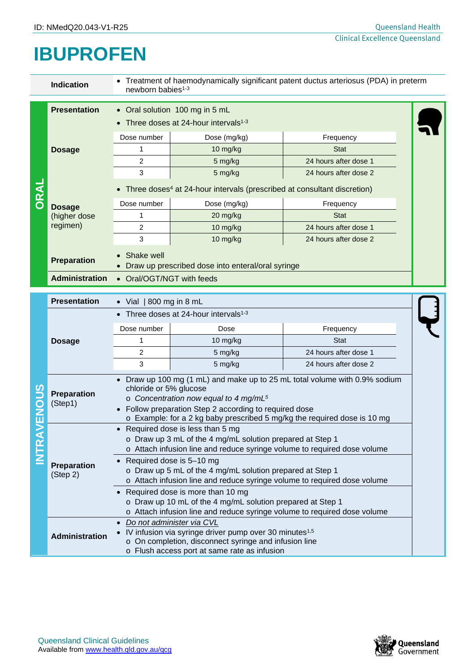## **IBUPROFEN**

|                                | Treatment of haemodynamically significant patent ductus arteriosus (PDA) in preterm<br><b>Indication</b><br>newborn babies <sup>1-3</sup> |                                                                                                                                                                                                                                                                                                                |              |                       |  |  |  |
|--------------------------------|-------------------------------------------------------------------------------------------------------------------------------------------|----------------------------------------------------------------------------------------------------------------------------------------------------------------------------------------------------------------------------------------------------------------------------------------------------------------|--------------|-----------------------|--|--|--|
|                                | <b>Presentation</b>                                                                                                                       | • Oral solution 100 mg in 5 mL<br>Three doses at 24-hour intervals <sup>1-3</sup>                                                                                                                                                                                                                              |              |                       |  |  |  |
| ORAL                           | <b>Dosage</b>                                                                                                                             | Dose number                                                                                                                                                                                                                                                                                                    | Dose (mg/kg) | Frequency             |  |  |  |
|                                |                                                                                                                                           | 1                                                                                                                                                                                                                                                                                                              | 10 mg/kg     | <b>Stat</b>           |  |  |  |
|                                |                                                                                                                                           | $\overline{2}$                                                                                                                                                                                                                                                                                                 | 5 mg/kg      | 24 hours after dose 1 |  |  |  |
|                                |                                                                                                                                           | 3                                                                                                                                                                                                                                                                                                              | 5 mg/kg      | 24 hours after dose 2 |  |  |  |
|                                | <b>Dosage</b><br>(higher dose<br>regimen)                                                                                                 | Three doses <sup>4</sup> at 24-hour intervals (prescribed at consultant discretion)                                                                                                                                                                                                                            |              |                       |  |  |  |
|                                |                                                                                                                                           | Dose number                                                                                                                                                                                                                                                                                                    | Dose (mg/kg) | Frequency             |  |  |  |
|                                |                                                                                                                                           | 1                                                                                                                                                                                                                                                                                                              | 20 mg/kg     | <b>Stat</b>           |  |  |  |
|                                |                                                                                                                                           | $\overline{2}$                                                                                                                                                                                                                                                                                                 | 10 mg/kg     | 24 hours after dose 1 |  |  |  |
|                                |                                                                                                                                           | 3                                                                                                                                                                                                                                                                                                              | 10 mg/kg     | 24 hours after dose 2 |  |  |  |
|                                | <b>Preparation</b>                                                                                                                        | Shake well<br>Draw up prescribed dose into enteral/oral syringe                                                                                                                                                                                                                                                |              |                       |  |  |  |
|                                | <b>Administration</b>                                                                                                                     | • Oral/OGT/NGT with feeds                                                                                                                                                                                                                                                                                      |              |                       |  |  |  |
|                                |                                                                                                                                           |                                                                                                                                                                                                                                                                                                                |              |                       |  |  |  |
|                                | <b>Presentation</b>                                                                                                                       | • Vial $ 800 \text{ mg}$ in 8 mL                                                                                                                                                                                                                                                                               |              |                       |  |  |  |
|                                | <b>Dosage</b>                                                                                                                             | • Three doses at 24-hour intervals <sup>1-3</sup>                                                                                                                                                                                                                                                              |              |                       |  |  |  |
|                                |                                                                                                                                           | Dose number                                                                                                                                                                                                                                                                                                    | Dose         | Frequency             |  |  |  |
|                                |                                                                                                                                           | 1                                                                                                                                                                                                                                                                                                              | 10 mg/kg     | <b>Stat</b>           |  |  |  |
|                                |                                                                                                                                           | $\overline{2}$                                                                                                                                                                                                                                                                                                 | 5 mg/kg      | 24 hours after dose 1 |  |  |  |
|                                |                                                                                                                                           | 3                                                                                                                                                                                                                                                                                                              | 5 mg/kg      | 24 hours after dose 2 |  |  |  |
| $\boldsymbol{\omega}$<br>VENOU | <b>Preparation</b><br>(Step1)                                                                                                             | Draw up 100 mg (1 mL) and make up to 25 mL total volume with 0.9% sodium<br>$\bullet$<br>chloride or 5% glucose<br>$\circ$ Concentration now equal to 4 mg/mL <sup>5</sup><br>Follow preparation Step 2 according to required dose<br>o Example: for a 2 kg baby prescribed 5 mg/kg the required dose is 10 mg |              |                       |  |  |  |
|                                | <b>Preparation</b><br>(Step 2)                                                                                                            | • Required dose is less than 5 mg<br>o Draw up 3 mL of the 4 mg/mL solution prepared at Step 1<br>o Attach infusion line and reduce syringe volume to required dose volume                                                                                                                                     |              |                       |  |  |  |
|                                |                                                                                                                                           | Required dose is 5-10 mg<br>o Draw up 5 mL of the 4 mg/mL solution prepared at Step 1<br>o Attach infusion line and reduce syringe volume to required dose volume                                                                                                                                              |              |                       |  |  |  |
|                                |                                                                                                                                           | Required dose is more than 10 mg<br>o Draw up 10 mL of the 4 mg/mL solution prepared at Step 1<br>o Attach infusion line and reduce syringe volume to required dose volume                                                                                                                                     |              |                       |  |  |  |
|                                | Administration                                                                                                                            | Do not administer via CVL<br>IV infusion via syringe driver pump over 30 minutes <sup>1,5</sup><br>o On completion, disconnect syringe and infusion line<br>o Flush access port at same rate as infusion                                                                                                       |              |                       |  |  |  |

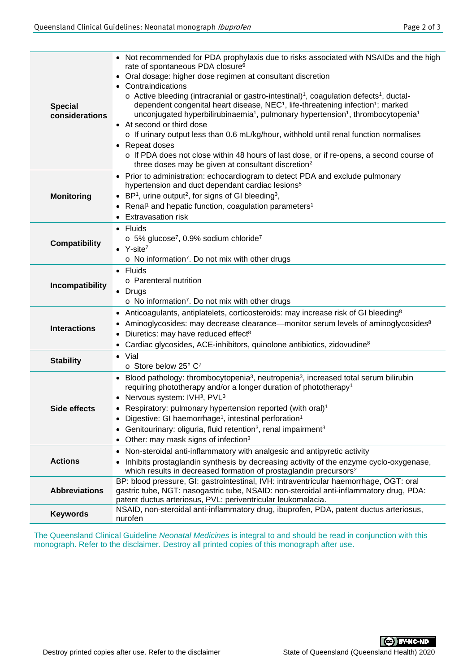|                                  | • Not recommended for PDA prophylaxis due to risks associated with NSAIDs and the high<br>rate of spontaneous PDA closure <sup>6</sup>                                                                                                                                                                                                                                               |
|----------------------------------|--------------------------------------------------------------------------------------------------------------------------------------------------------------------------------------------------------------------------------------------------------------------------------------------------------------------------------------------------------------------------------------|
|                                  | Oral dosage: higher dose regimen at consultant discretion<br>Contraindications                                                                                                                                                                                                                                                                                                       |
| <b>Special</b><br>considerations | $\circ$ Active bleeding (intracranial or gastro-intestinal) <sup>1</sup> , coagulation defects <sup>1</sup> , ductal-<br>dependent congenital heart disease, NEC <sup>1</sup> , life-threatening infection <sup>1</sup> ; marked<br>unconjugated hyperbilirubinaemia <sup>1</sup> , pulmonary hypertension <sup>1</sup> , thrombocytopenia <sup>1</sup><br>• At second or third dose |
|                                  | $\circ$ If urinary output less than 0.6 mL/kg/hour, withhold until renal function normalises<br>• Repeat doses                                                                                                                                                                                                                                                                       |
|                                  | o If PDA does not close within 48 hours of last dose, or if re-opens, a second course of<br>three doses may be given at consultant discretion <sup>2</sup>                                                                                                                                                                                                                           |
|                                  | • Prior to administration: echocardiogram to detect PDA and exclude pulmonary<br>hypertension and duct dependant cardiac lesions <sup>5</sup>                                                                                                                                                                                                                                        |
| <b>Monitoring</b>                | • BP <sup>1</sup> , urine output <sup>2</sup> , for signs of GI bleeding <sup>3</sup> ,                                                                                                                                                                                                                                                                                              |
|                                  | • Renal <sup>1</sup> and hepatic function, coagulation parameters <sup>1</sup>                                                                                                                                                                                                                                                                                                       |
|                                  | • Extravasation risk                                                                                                                                                                                                                                                                                                                                                                 |
|                                  | • Fluids                                                                                                                                                                                                                                                                                                                                                                             |
| <b>Compatibility</b>             | $\circ$ 5% glucose <sup>7</sup> , 0.9% sodium chloride <sup>7</sup>                                                                                                                                                                                                                                                                                                                  |
|                                  | $\bullet$ Y-site <sup>7</sup>                                                                                                                                                                                                                                                                                                                                                        |
|                                  | $\circ$ No information <sup>7</sup> . Do not mix with other drugs                                                                                                                                                                                                                                                                                                                    |
|                                  | $\bullet$ Fluids                                                                                                                                                                                                                                                                                                                                                                     |
| Incompatibility                  | o Parenteral nutrition                                                                                                                                                                                                                                                                                                                                                               |
|                                  | $\bullet$ Drugs                                                                                                                                                                                                                                                                                                                                                                      |
|                                  | $\circ$ No information <sup>7</sup> . Do not mix with other drugs                                                                                                                                                                                                                                                                                                                    |
|                                  | • Anticoagulants, antiplatelets, corticosteroids: may increase risk of GI bleeding <sup>8</sup>                                                                                                                                                                                                                                                                                      |
| <b>Interactions</b>              | Aminoglycosides: may decrease clearance—monitor serum levels of aminoglycosides <sup>8</sup>                                                                                                                                                                                                                                                                                         |
|                                  | Diuretics: may have reduced effect <sup>8</sup>                                                                                                                                                                                                                                                                                                                                      |
|                                  | Cardiac glycosides, ACE-inhibitors, quinolone antibiotics, zidovudine <sup>8</sup>                                                                                                                                                                                                                                                                                                   |
| <b>Stability</b>                 | $\bullet$ Vial<br>o Store below 25° C <sup>7</sup>                                                                                                                                                                                                                                                                                                                                   |
|                                  | Blood pathology: thrombocytopenia <sup>3</sup> , neutropenia <sup>3</sup> , increased total serum bilirubin                                                                                                                                                                                                                                                                          |
|                                  | requiring phototherapy and/or a longer duration of phototherapy <sup>1</sup>                                                                                                                                                                                                                                                                                                         |
|                                  | Nervous system: IVH <sup>3</sup> , PVL <sup>3</sup>                                                                                                                                                                                                                                                                                                                                  |
| Side effects                     | Respiratory: pulmonary hypertension reported (with oral) <sup>1</sup>                                                                                                                                                                                                                                                                                                                |
|                                  | Digestive: GI haemorrhage <sup>1</sup> , intestinal perforation <sup>1</sup>                                                                                                                                                                                                                                                                                                         |
|                                  | Genitourinary: oliguria, fluid retention <sup>3</sup> , renal impairment <sup>3</sup>                                                                                                                                                                                                                                                                                                |
|                                  | Other: may mask signs of infection <sup>3</sup>                                                                                                                                                                                                                                                                                                                                      |
|                                  | Non-steroidal anti-inflammatory with analgesic and antipyretic activity<br>$\bullet$                                                                                                                                                                                                                                                                                                 |
| <b>Actions</b>                   | Inhibits prostaglandin synthesis by decreasing activity of the enzyme cyclo-oxygenase,                                                                                                                                                                                                                                                                                               |
|                                  | which results in decreased formation of prostaglandin precursors <sup>2</sup><br>BP: blood pressure, GI: gastrointestinal, IVH: intraventricular haemorrhage, OGT: oral                                                                                                                                                                                                              |
| <b>Abbreviations</b>             | gastric tube, NGT: nasogastric tube, NSAID: non-steroidal anti-inflammatory drug, PDA:                                                                                                                                                                                                                                                                                               |
|                                  | patent ductus arteriosus, PVL: periventricular leukomalacia.                                                                                                                                                                                                                                                                                                                         |
| <b>Keywords</b>                  | NSAID, non-steroidal anti-inflammatory drug, ibuprofen, PDA, patent ductus arteriosus,                                                                                                                                                                                                                                                                                               |
|                                  | nurofen                                                                                                                                                                                                                                                                                                                                                                              |

The Queensland Clinical Guideline *Neonatal Medicines* is integral to and should be read in conjunction with this monograph. Refer to the disclaimer. Destroy all printed copies of this monograph after use.